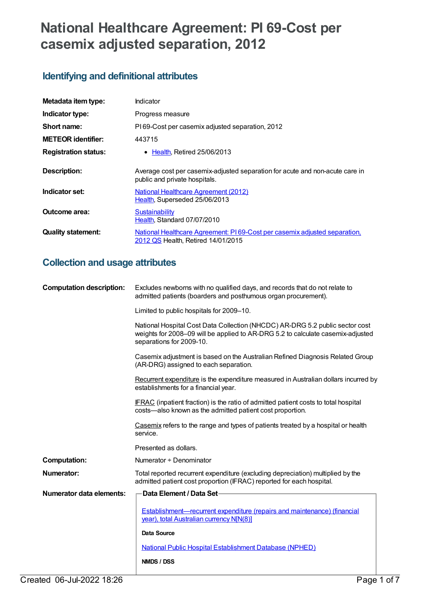# **National Healthcare Agreement: PI 69-Cost per casemix adjusted separation, 2012**

## **Identifying and definitional attributes**

| Metadata item type:         | Indicator                                                                                                       |
|-----------------------------|-----------------------------------------------------------------------------------------------------------------|
| Indicator type:             | Progress measure                                                                                                |
| Short name:                 | PI69-Cost per casemix adjusted separation, 2012                                                                 |
| <b>METEOR identifier:</b>   | 443715                                                                                                          |
| <b>Registration status:</b> | • Health, Retired 25/06/2013                                                                                    |
| Description:                | Average cost per casemix-adjusted separation for acute and non-acute care in<br>public and private hospitals.   |
| Indicator set:              | National Healthcare Agreement (2012)<br>Health, Superseded 25/06/2013                                           |
| Outcome area:               | <b>Sustainability</b><br>Health. Standard 07/07/2010                                                            |
| <b>Quality statement:</b>   | National Healthcare Agreement: PI69-Cost per casemix adjusted separation,<br>2012 QS Health, Retired 14/01/2015 |

## **Collection and usage attributes**

| Excludes newborns with no qualified days, and records that do not relate to<br>admitted patients (boarders and posthumous organ procurement).                                               |
|---------------------------------------------------------------------------------------------------------------------------------------------------------------------------------------------|
| Limited to public hospitals for 2009-10.                                                                                                                                                    |
| National Hospital Cost Data Collection (NHCDC) AR-DRG 5.2 public sector cost<br>weights for 2008-09 will be applied to AR-DRG 5.2 to calculate casemix-adjusted<br>separations for 2009-10. |
| Casemix adjustment is based on the Australian Refined Diagnosis Related Group<br>(AR-DRG) assigned to each separation.                                                                      |
| Recurrent expenditure is the expenditure measured in Australian dollars incurred by<br>establishments for a financial year.                                                                 |
| <b>IFRAC</b> (inpatient fraction) is the ratio of admitted patient costs to total hospital<br>costs-also known as the admitted patient cost proportion.                                     |
| Casemix refers to the range and types of patients treated by a hospital or health<br>service.                                                                                               |
| Presented as dollars.                                                                                                                                                                       |
| Numerator + Denominator                                                                                                                                                                     |
| Total reported recurrent expenditure (excluding depreciation) multiplied by the<br>admitted patient cost proportion (IFRAC) reported for each hospital.                                     |
| Data Element / Data Set-                                                                                                                                                                    |
| Establishment—recurrent expenditure (repairs and maintenance) (financial<br>year), total Australian currency N[N(8)]                                                                        |
| <b>Data Source</b>                                                                                                                                                                          |
| <b>National Public Hospital Establishment Database (NPHED)</b>                                                                                                                              |
| NMDS / DSS                                                                                                                                                                                  |
|                                                                                                                                                                                             |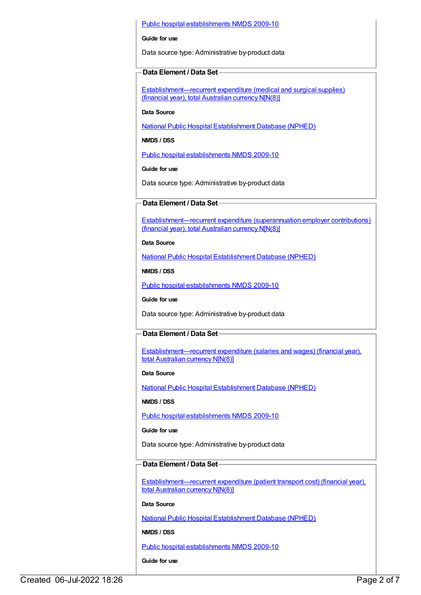#### Public hospital [establishments](https://meteor.aihw.gov.au/content/374924) NMDS 2009-10

#### **Guide for use**

Data source type: Administrative by-product data

#### **Data Element / Data Set**

[Establishment—recurrent](https://meteor.aihw.gov.au/content/270358) expenditure (medical and surgical supplies) (financial year), total Australian currency N[N(8)]

**Data Source**

National Public Hospital [Establishment](https://meteor.aihw.gov.au/content/395090) Database (NPHED)

**NMDS / DSS**

Public hospital [establishments](https://meteor.aihw.gov.au/content/374924) NMDS 2009-10

**Guide for use**

Data source type: Administrative by-product data

#### **Data Element / Data Set**

[Establishment—recurrent](https://meteor.aihw.gov.au/content/270371) expenditure (superannuation employer contributions) (financial year), total Australian currency N[N(8)]

**Data Source**

National Public Hospital [Establishment](https://meteor.aihw.gov.au/content/395090) Database (NPHED)

**NMDS / DSS**

Public hospital [establishments](https://meteor.aihw.gov.au/content/374924) NMDS 2009-10

**Guide for use**

Data source type: Administrative by-product data

#### **Data Element / Data Set**

[Establishment—recurrent](https://meteor.aihw.gov.au/content/270470) expenditure (salaries and wages) (financial year), total Australian currency N[N(8)]

#### **Data Source**

National Public Hospital [Establishment](https://meteor.aihw.gov.au/content/395090) Database (NPHED)

**NMDS / DSS**

Public hospital [establishments](https://meteor.aihw.gov.au/content/374924) NMDS 2009-10

**Guide for use**

Data source type: Administrative by-product data

#### **Data Element / Data Set**

[Establishment—recurrent](https://meteor.aihw.gov.au/content/270048) expenditure (patient transport cost) (financial year), total Australian currency N[N(8)]

#### **Data Source**

National Public Hospital [Establishment](https://meteor.aihw.gov.au/content/395090) Database (NPHED)

**NMDS / DSS**

Public hospital [establishments](https://meteor.aihw.gov.au/content/374924) NMDS 2009-10

**Guide for use**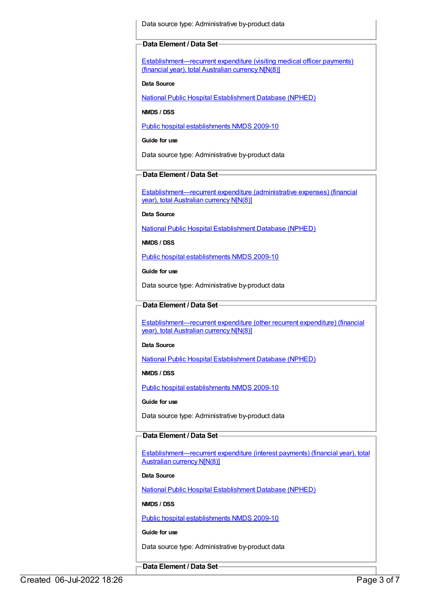Data source type: Administrative by-product data

#### **Data Element / Data Set**

[Establishment—recurrent](https://meteor.aihw.gov.au/content/270049) expenditure (visiting medical officer payments) (financial year), total Australian currency N[N(8)]

#### **Data Source**

National Public Hospital [Establishment](https://meteor.aihw.gov.au/content/395090) Database (NPHED)

**NMDS / DSS**

Public hospital [establishments](https://meteor.aihw.gov.au/content/374924) NMDS 2009-10

**Guide for use**

Data source type: Administrative by-product data

#### **Data Element / Data Set**

[Establishment—recurrent](https://meteor.aihw.gov.au/content/270107) expenditure (administrative expenses) (financial year), total Australian currency N[N(8)]

**Data Source**

National Public Hospital [Establishment](https://meteor.aihw.gov.au/content/395090) Database (NPHED)

**NMDS / DSS**

Public hospital [establishments](https://meteor.aihw.gov.au/content/374924) NMDS 2009-10

**Guide for use**

Data source type: Administrative by-product data

#### **Data Element / Data Set**

[Establishment—recurrent](https://meteor.aihw.gov.au/content/270126) expenditure (other recurrent expenditure) (financial year), total Australian currency N[N(8)]

#### **Data Source**

National Public Hospital [Establishment](https://meteor.aihw.gov.au/content/395090) Database (NPHED)

**NMDS / DSS**

Public hospital [establishments](https://meteor.aihw.gov.au/content/374924) NMDS 2009-10

**Guide for use**

Data source type: Administrative by-product data

#### **Data Element / Data Set**

[Establishment—recurrent](https://meteor.aihw.gov.au/content/270186) expenditure (interest payments) (financial year), total Australian currency N[N(8)]

#### **Data Source**

National Public Hospital [Establishment](https://meteor.aihw.gov.au/content/395090) Database (NPHED)

**NMDS / DSS**

Public hospital [establishments](https://meteor.aihw.gov.au/content/374924) NMDS 2009-10

**Guide for use**

Data source type: Administrative by-product data

**Data Element / Data Set**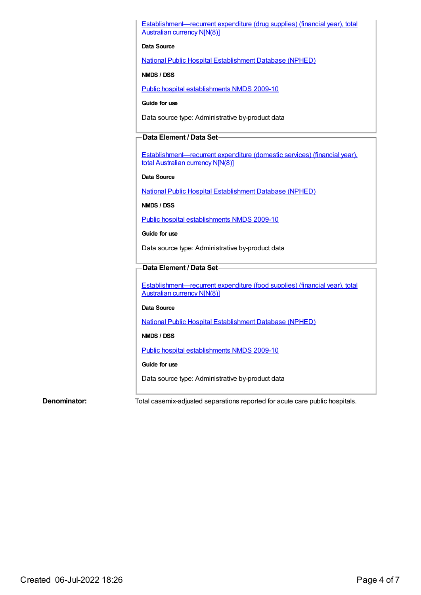[Establishment—recurrent](https://meteor.aihw.gov.au/content/270282) expenditure (drug supplies) (financial year), total Australian currency N[N(8)]

#### **Data Source**

National Public Hospital [Establishment](https://meteor.aihw.gov.au/content/395090) Database (NPHED)

**NMDS / DSS**

Public hospital [establishments](https://meteor.aihw.gov.au/content/374924) NMDS 2009-10

**Guide for use**

Data source type: Administrative by-product data

#### **Data Element / Data Set**

[Establishment—recurrent](https://meteor.aihw.gov.au/content/270283) expenditure (domestic services) (financial year), total Australian currency N[N(8)]

#### **Data Source**

National Public Hospital [Establishment](https://meteor.aihw.gov.au/content/395090) Database (NPHED)

**NMDS / DSS**

Public hospital [establishments](https://meteor.aihw.gov.au/content/374924) NMDS 2009-10

**Guide for use**

Data source type: Administrative by-product data

#### **Data Element / Data Set**

[Establishment—recurrent](https://meteor.aihw.gov.au/content/270284) expenditure (food supplies) (financial year), total Australian currency N[N(8)]

#### **Data Source**

National Public Hospital [Establishment](https://meteor.aihw.gov.au/content/395090) Database (NPHED)

**NMDS / DSS**

Public hospital [establishments](https://meteor.aihw.gov.au/content/374924) NMDS 2009-10

#### **Guide for use**

Data source type: Administrative by-product data

**Denominator:** Total casemix-adjusted separations reported for acute care public hospitals.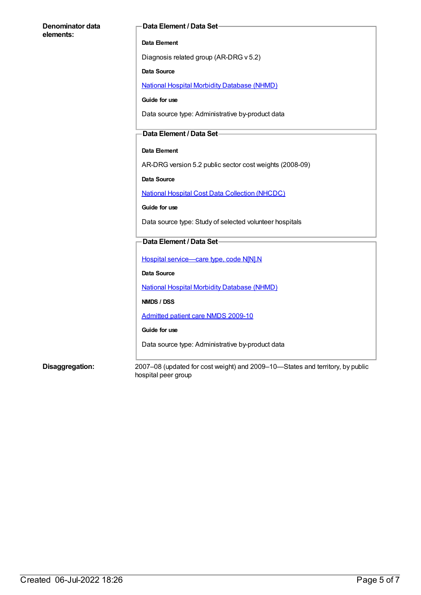# **Denominator data elements: Data Element / Data Set Data Element** Diagnosis related group (AR-DRG v 5.2) **Data Source** National Hospital Morbidity [Database](https://meteor.aihw.gov.au/content/394352) (NHMD) **Guide for use** Data source type: Administrative by-product data **Data Element / Data Set Data Element** AR-DRG version 5.2 public sector cost weights (2008-09) **Data Source** National Hospital Cost Data [Collection](https://meteor.aihw.gov.au/content/395154) (NHCDC) **Guide for use** Data source type: Study of selected volunteer hospitals **Data Element / Data Set** Hospital [service—care](https://meteor.aihw.gov.au/content/270174) type, code N[N].N **Data Source** National Hospital Morbidity [Database](https://meteor.aihw.gov.au/content/394352) (NHMD) **NMDS / DSS** [Admitted](https://meteor.aihw.gov.au/content/374205) patient care NMDS 2009-10 **Guide for use** Data source type: Administrative by-product data

**Disaggregation:** 2007–08 (updated for cost weight) and 2009–10—States and territory, by public hospital peer group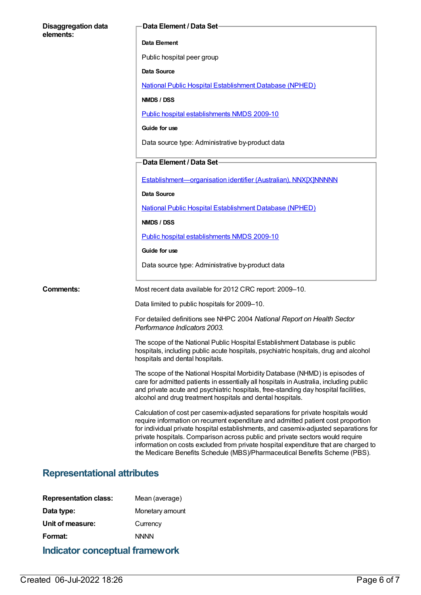| <b>Disaggregation data</b><br>elements: | Data Element / Data Set-                                                                                                                                                                                                                                                                                                                                                                                                                                                                                            |
|-----------------------------------------|---------------------------------------------------------------------------------------------------------------------------------------------------------------------------------------------------------------------------------------------------------------------------------------------------------------------------------------------------------------------------------------------------------------------------------------------------------------------------------------------------------------------|
|                                         | Data Element                                                                                                                                                                                                                                                                                                                                                                                                                                                                                                        |
|                                         | Public hospital peer group                                                                                                                                                                                                                                                                                                                                                                                                                                                                                          |
|                                         | Data Source                                                                                                                                                                                                                                                                                                                                                                                                                                                                                                         |
|                                         | <b>National Public Hospital Establishment Database (NPHED)</b>                                                                                                                                                                                                                                                                                                                                                                                                                                                      |
|                                         | NMDS / DSS                                                                                                                                                                                                                                                                                                                                                                                                                                                                                                          |
|                                         | Public hospital establishments NMDS 2009-10                                                                                                                                                                                                                                                                                                                                                                                                                                                                         |
|                                         | Guide for use                                                                                                                                                                                                                                                                                                                                                                                                                                                                                                       |
|                                         | Data source type: Administrative by-product data                                                                                                                                                                                                                                                                                                                                                                                                                                                                    |
|                                         | Data Element / Data Set                                                                                                                                                                                                                                                                                                                                                                                                                                                                                             |
|                                         | Establishment-organisation identifier (Australian), NNX[X]NNNNN                                                                                                                                                                                                                                                                                                                                                                                                                                                     |
|                                         | <b>Data Source</b>                                                                                                                                                                                                                                                                                                                                                                                                                                                                                                  |
|                                         | <b>National Public Hospital Establishment Database (NPHED)</b>                                                                                                                                                                                                                                                                                                                                                                                                                                                      |
|                                         | NMDS / DSS                                                                                                                                                                                                                                                                                                                                                                                                                                                                                                          |
|                                         | Public hospital establishments NMDS 2009-10                                                                                                                                                                                                                                                                                                                                                                                                                                                                         |
|                                         | Guide for use                                                                                                                                                                                                                                                                                                                                                                                                                                                                                                       |
|                                         | Data source type: Administrative by-product data                                                                                                                                                                                                                                                                                                                                                                                                                                                                    |
| <b>Comments:</b>                        | Most recent data available for 2012 CRC report: 2009-10.                                                                                                                                                                                                                                                                                                                                                                                                                                                            |
|                                         | Data limited to public hospitals for 2009-10.                                                                                                                                                                                                                                                                                                                                                                                                                                                                       |
|                                         | For detailed definitions see NHPC 2004 National Report on Health Sector<br>Performance Indicators 2003.                                                                                                                                                                                                                                                                                                                                                                                                             |
|                                         | The scope of the National Public Hospital Establishment Database is public<br>hospitals, including public acute hospitals, psychiatric hospitals, drug and alcohol<br>hospitals and dental hospitals.                                                                                                                                                                                                                                                                                                               |
|                                         | The scope of the National Hospital Morbidity Database (NHMD) is episodes of<br>care for admitted patients in essentially all hospitals in Australia, including public<br>and private acute and psychiatric hospitals, free-standing day hospital facilities,<br>alcohol and drug treatment hospitals and dental hospitals.                                                                                                                                                                                          |
|                                         | Calculation of cost per casemix-adjusted separations for private hospitals would<br>require information on recurrent expenditure and admitted patient cost proportion<br>for individual private hospital establishments, and casemix-adjusted separations for<br>private hospitals. Comparison across public and private sectors would require<br>information on costs excluded from private hospital expenditure that are charged to<br>the Medicare Benefits Schedule (MBS)/Pharmaceutical Benefits Scheme (PBS). |

# **Representational attributes**

| <b>Indicator conceptual framework</b> |                 |
|---------------------------------------|-----------------|
| Format:                               | <b>NNNN</b>     |
| Unit of measure:                      | Currency        |
| Data type:                            | Monetary amount |
| <b>Representation class:</b>          | Mean (average)  |